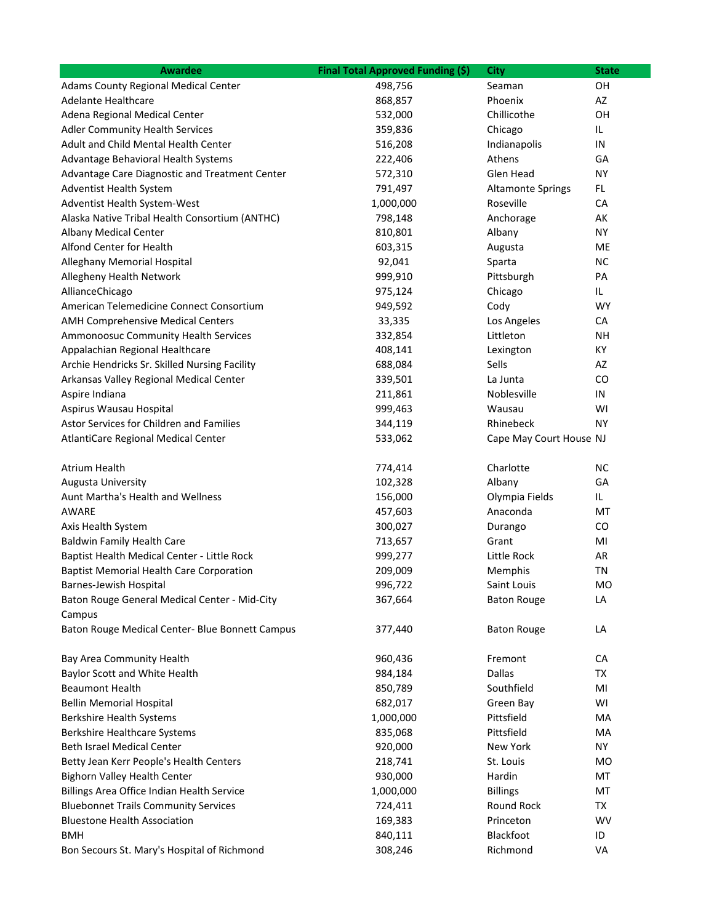| <b>Awardee</b>                                          | Final Total Approved Funding (\$) | City                     | <b>State</b> |
|---------------------------------------------------------|-----------------------------------|--------------------------|--------------|
| <b>Adams County Regional Medical Center</b>             | 498,756                           | Seaman                   | OH           |
| <b>Adelante Healthcare</b>                              | 868,857                           | Phoenix                  | AZ           |
| Adena Regional Medical Center                           | 532,000                           | Chillicothe              | OН           |
| <b>Adler Community Health Services</b>                  | 359,836                           | Chicago                  | IL.          |
| Adult and Child Mental Health Center                    | 516,208                           | Indianapolis             | IN           |
| Advantage Behavioral Health Systems                     | 222,406                           | Athens                   | GA           |
| Advantage Care Diagnostic and Treatment Center          | 572,310                           | Glen Head                | <b>NY</b>    |
| Adventist Health System                                 | 791,497                           | <b>Altamonte Springs</b> | FL           |
| Adventist Health System-West                            | 1,000,000                         | Roseville                | CA           |
| Alaska Native Tribal Health Consortium (ANTHC)          | 798,148                           | Anchorage                | AK           |
| Albany Medical Center                                   | 810,801                           | Albany                   | NY           |
| Alfond Center for Health                                | 603,315                           | Augusta                  | ME           |
| Alleghany Memorial Hospital                             | 92,041                            | Sparta                   | <b>NC</b>    |
| Allegheny Health Network                                | 999,910                           | Pittsburgh               | PA           |
| AllianceChicago                                         | 975,124                           | Chicago                  | IL           |
| American Telemedicine Connect Consortium                | 949,592                           | Cody                     | <b>WY</b>    |
| AMH Comprehensive Medical Centers                       | 33,335                            | Los Angeles              | CA           |
| Ammonoosuc Community Health Services                    | 332,854                           | Littleton                | <b>NH</b>    |
| Appalachian Regional Healthcare                         | 408,141                           | Lexington                | KY           |
| Archie Hendricks Sr. Skilled Nursing Facility           | 688,084                           | Sells                    | AZ           |
| Arkansas Valley Regional Medical Center                 | 339,501                           | La Junta                 | CO           |
| Aspire Indiana                                          | 211,861                           | Noblesville              | IN           |
| Aspirus Wausau Hospital                                 | 999,463                           | Wausau                   | WI           |
| Astor Services for Children and Families                | 344,119                           | Rhinebeck                | NY           |
| AtlantiCare Regional Medical Center                     | 533,062                           | Cape May Court House NJ  |              |
| <b>Atrium Health</b>                                    | 774,414                           | Charlotte                | <b>NC</b>    |
| <b>Augusta University</b>                               | 102,328                           | Albany                   | GA           |
| Aunt Martha's Health and Wellness                       | 156,000                           | Olympia Fields           | IL           |
| AWARE                                                   | 457,603                           | Anaconda                 | МT           |
| Axis Health System                                      | 300,027                           | Durango                  | CO           |
| <b>Baldwin Family Health Care</b>                       | 713,657                           | Grant                    | MI           |
| Baptist Health Medical Center - Little Rock             | 999,277                           | Little Rock              | AR           |
| <b>Baptist Memorial Health Care Corporation</b>         | 209,009                           | Memphis                  | TN           |
| Barnes-Jewish Hospital                                  | 996,722                           | Saint Louis              | MO           |
| Baton Rouge General Medical Center - Mid-City<br>Campus | 367,664                           | <b>Baton Rouge</b>       | LA           |
| Baton Rouge Medical Center- Blue Bonnett Campus         | 377,440                           | <b>Baton Rouge</b>       | LA           |
| Bay Area Community Health                               | 960,436                           | Fremont                  | СA           |
| Baylor Scott and White Health                           | 984,184                           | Dallas                   | TX           |
| <b>Beaumont Health</b>                                  | 850,789                           | Southfield               | MI           |
| <b>Bellin Memorial Hospital</b>                         | 682,017                           | Green Bay                | WI           |
| <b>Berkshire Health Systems</b>                         | 1,000,000                         | Pittsfield               | МA           |
| <b>Berkshire Healthcare Systems</b>                     | 835,068                           | Pittsfield               | МA           |
| Beth Israel Medical Center                              | 920,000                           | New York                 | ΝY           |
| Betty Jean Kerr People's Health Centers                 | 218,741                           | St. Louis                | MO           |
| <b>Bighorn Valley Health Center</b>                     | 930,000                           | Hardin                   | МT           |
| Billings Area Office Indian Health Service              | 1,000,000                         | <b>Billings</b>          | MT           |
| <b>Bluebonnet Trails Community Services</b>             | 724,411                           | Round Rock               | TX           |
| <b>Bluestone Health Association</b>                     | 169,383                           | Princeton                | WV           |
| <b>BMH</b>                                              | 840,111                           | Blackfoot                | ID           |
| Bon Secours St. Mary's Hospital of Richmond             | 308,246                           | Richmond                 | VA           |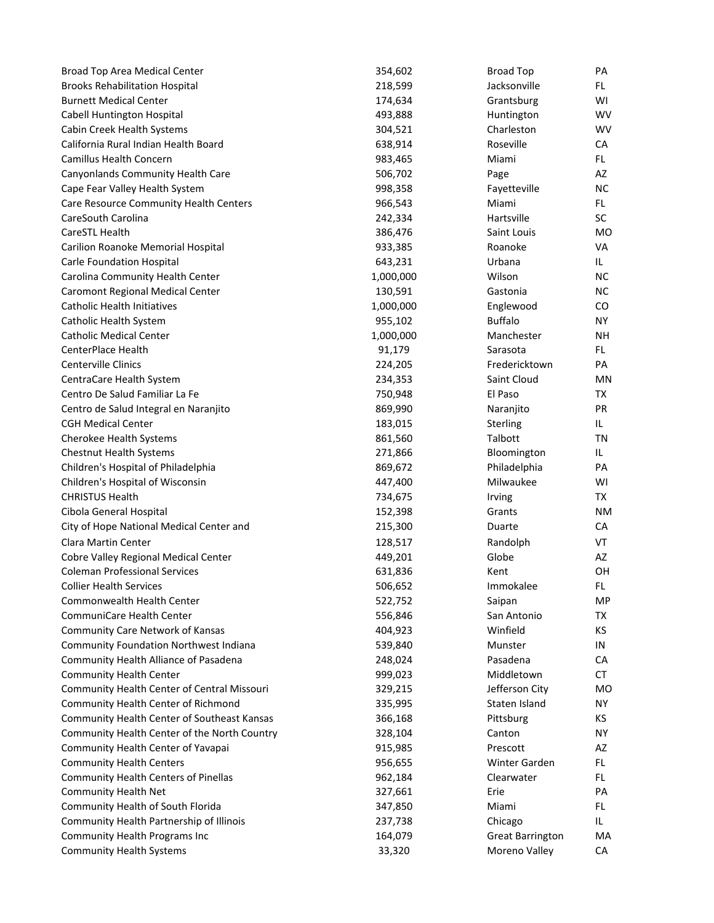| Broad Top Area Medical Center                | 354,602   | <b>Broad Top</b>        | PA             |
|----------------------------------------------|-----------|-------------------------|----------------|
| <b>Brooks Rehabilitation Hospital</b>        | 218,599   | Jacksonville            | FL.            |
| <b>Burnett Medical Center</b>                | 174,634   | Grantsburg              | WI             |
| Cabell Huntington Hospital                   | 493,888   | Huntington              | <b>WV</b>      |
| Cabin Creek Health Systems                   | 304,521   | Charleston              | <b>WV</b>      |
| California Rural Indian Health Board         | 638,914   | Roseville               | CA             |
| Camillus Health Concern                      | 983,465   | Miami                   | FL.            |
| Canyonlands Community Health Care            | 506,702   | Page                    | AZ             |
| Cape Fear Valley Health System               | 998,358   | Fayetteville            | <b>NC</b>      |
| Care Resource Community Health Centers       | 966,543   | Miami                   | FL.            |
| CareSouth Carolina                           | 242,334   | Hartsville              | <b>SC</b>      |
| CareSTL Health                               | 386,476   | Saint Louis             | <b>MO</b>      |
| Carilion Roanoke Memorial Hospital           | 933,385   | Roanoke                 | <b>VA</b>      |
| Carle Foundation Hospital                    | 643,231   | Urbana                  | IL.            |
| Carolina Community Health Center             | 1,000,000 | Wilson                  | <b>NC</b>      |
| <b>Caromont Regional Medical Center</b>      | 130,591   | Gastonia                | <b>NC</b>      |
| <b>Catholic Health Initiatives</b>           | 1,000,000 | Englewood               | CO             |
| Catholic Health System                       | 955,102   | <b>Buffalo</b>          | NY.            |
| <b>Catholic Medical Center</b>               | 1,000,000 | Manchester              | NΗ             |
| CenterPlace Health                           | 91,179    | Sarasota                | FL.            |
| <b>Centerville Clinics</b>                   | 224,205   | Fredericktown           | PA             |
| CentraCare Health System                     | 234,353   | Saint Cloud             | ΜN             |
| Centro De Salud Familiar La Fe               | 750,948   | El Paso                 | TX             |
| Centro de Salud Integral en Naranjito        | 869,990   | Naranjito               | <b>PR</b>      |
| <b>CGH Medical Center</b>                    | 183,015   | Sterling                | IL.            |
| Cherokee Health Systems                      | 861,560   | Talbott                 | TN             |
| <b>Chestnut Health Systems</b>               | 271,866   | Bloomington             | IL.            |
| Children's Hospital of Philadelphia          | 869,672   | Philadelphia            | PA             |
| Children's Hospital of Wisconsin             | 447,400   | Milwaukee               | WI             |
| <b>CHRISTUS Health</b>                       | 734,675   | Irving                  | TX             |
| Cibola General Hospital                      | 152,398   | Grants                  | <b>NM</b>      |
| City of Hope National Medical Center and     | 215,300   | Duarte                  | СA             |
| Clara Martin Center                          | 128,517   | Randolph                | VT             |
| Cobre Valley Regional Medical Center         | 449,201   | Globe                   | AZ             |
| <b>Coleman Professional Services</b>         | 631,836   | Kent                    | OH             |
| <b>Collier Health Services</b>               | 506,652   | Immokalee               | FL.            |
| Commonwealth Health Center                   | 522,752   | Saipan                  | MP             |
| CommuniCare Health Center                    | 556,846   | San Antonio             | TX             |
| Community Care Network of Kansas             | 404,923   | Winfield                | KS             |
| Community Foundation Northwest Indiana       | 539,840   | Munster                 | IN             |
| Community Health Alliance of Pasadena        | 248,024   | Pasadena                | СA             |
| <b>Community Health Center</b>               | 999,023   | Middletown              | CT             |
| Community Health Center of Central Missouri  | 329,215   | Jefferson City          | M <sub>O</sub> |
| Community Health Center of Richmond          | 335,995   | Staten Island           | <b>NY</b>      |
| Community Health Center of Southeast Kansas  | 366,168   | Pittsburg               | КS             |
| Community Health Center of the North Country | 328,104   | Canton                  | ΝY             |
| Community Health Center of Yavapai           | 915,985   | Prescott                | AZ             |
| <b>Community Health Centers</b>              | 956,655   | Winter Garden           | FL.            |
| <b>Community Health Centers of Pinellas</b>  | 962,184   | Clearwater              | FL.            |
| <b>Community Health Net</b>                  | 327,661   | Erie                    | PA             |
| Community Health of South Florida            | 347,850   | Miami                   | FL.            |
| Community Health Partnership of Illinois     | 237,738   | Chicago                 | IL.            |
| Community Health Programs Inc                | 164,079   | <b>Great Barrington</b> | MA             |
| <b>Community Health Systems</b>              | 33,320    | Moreno Valley           | CA             |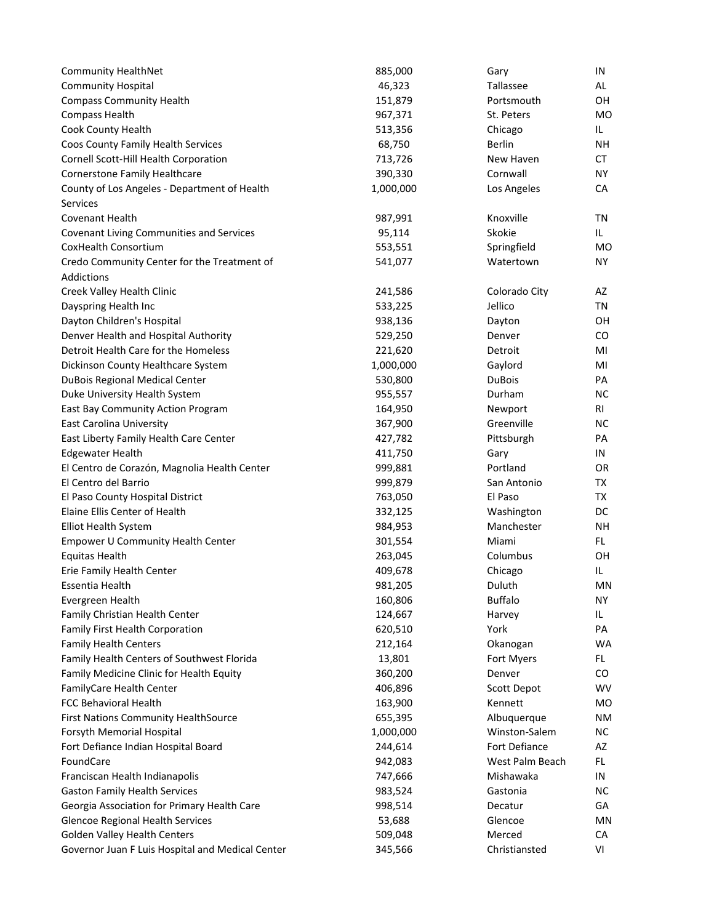| <b>Community HealthNet</b>                       | 885,000   | Gary            | IN        |
|--------------------------------------------------|-----------|-----------------|-----------|
| <b>Community Hospital</b>                        | 46,323    | Tallassee       | AL        |
| <b>Compass Community Health</b>                  | 151,879   | Portsmouth      | OH        |
| Compass Health                                   | 967,371   | St. Peters      | <b>MO</b> |
| Cook County Health                               | 513,356   | Chicago         | IL.       |
| Coos County Family Health Services               | 68,750    | <b>Berlin</b>   | <b>NH</b> |
| Cornell Scott-Hill Health Corporation            | 713,726   | New Haven       | <b>CT</b> |
| Cornerstone Family Healthcare                    | 390,330   | Cornwall        | <b>NY</b> |
| County of Los Angeles - Department of Health     | 1,000,000 | Los Angeles     | CA        |
| <b>Services</b>                                  |           |                 |           |
| Covenant Health                                  | 987,991   | Knoxville       | TN        |
| <b>Covenant Living Communities and Services</b>  | 95,114    | Skokie          | IL.       |
| CoxHealth Consortium                             | 553,551   | Springfield     | MO        |
| Credo Community Center for the Treatment of      | 541,077   | Watertown       | <b>NY</b> |
| Addictions                                       |           |                 |           |
| Creek Valley Health Clinic                       | 241,586   | Colorado City   | AZ        |
| Dayspring Health Inc                             | 533,225   | Jellico         | ΤN        |
| Dayton Children's Hospital                       | 938,136   | Dayton          | OН        |
| Denver Health and Hospital Authority             | 529,250   | Denver          | CO        |
| Detroit Health Care for the Homeless             | 221,620   | Detroit         | MI        |
| Dickinson County Healthcare System               | 1,000,000 | Gaylord         | MI        |
| DuBois Regional Medical Center                   | 530,800   | <b>DuBois</b>   | PA        |
| Duke University Health System                    | 955,557   | Durham          | <b>NC</b> |
| East Bay Community Action Program                | 164,950   | Newport         | RI        |
| <b>East Carolina University</b>                  | 367,900   | Greenville      | NС        |
| East Liberty Family Health Care Center           | 427,782   | Pittsburgh      | PA        |
| <b>Edgewater Health</b>                          | 411,750   | Gary            | IN        |
| El Centro de Corazón, Magnolia Health Center     | 999,881   | Portland        | OR        |
| El Centro del Barrio                             | 999,879   | San Antonio     | TX        |
| El Paso County Hospital District                 | 763,050   | El Paso         | TX        |
| Elaine Ellis Center of Health                    | 332,125   | Washington      | DC        |
| Elliot Health System                             | 984,953   | Manchester      | NΗ        |
| <b>Empower U Community Health Center</b>         | 301,554   | Miami           | FL.       |
| <b>Equitas Health</b>                            | 263,045   | Columbus        | OH        |
| Erie Family Health Center                        | 409,678   | Chicago         | IL.       |
| Essentia Health                                  | 981,205   | Duluth          | <b>MN</b> |
| Evergreen Health                                 | 160,806   | <b>Buffalo</b>  | NY.       |
| Family Christian Health Center                   | 124,667   | Harvey          | IL.       |
| Family First Health Corporation                  | 620,510   | York            | PA        |
| <b>Family Health Centers</b>                     | 212,164   | Okanogan        | WA        |
| Family Health Centers of Southwest Florida       | 13,801    | Fort Myers      | FL.       |
| Family Medicine Clinic for Health Equity         | 360,200   | Denver          | CO        |
| FamilyCare Health Center                         | 406,896   | Scott Depot     | <b>WV</b> |
| FCC Behavioral Health                            | 163,900   | Kennett         | MO        |
| <b>First Nations Community HealthSource</b>      | 655,395   | Albuquerque     | <b>NM</b> |
| Forsyth Memorial Hospital                        | 1,000,000 | Winston-Salem   | NС        |
| Fort Defiance Indian Hospital Board              | 244,614   | Fort Defiance   | AZ        |
| FoundCare                                        | 942,083   | West Palm Beach | FL.       |
| Franciscan Health Indianapolis                   | 747,666   | Mishawaka       | IN        |
| <b>Gaston Family Health Services</b>             | 983,524   | Gastonia        | NС        |
| Georgia Association for Primary Health Care      | 998,514   | Decatur         | GА        |
| <b>Glencoe Regional Health Services</b>          | 53,688    | Glencoe         | MN        |
| <b>Golden Valley Health Centers</b>              | 509,048   | Merced          | CA        |
| Governor Juan F Luis Hospital and Medical Center | 345,566   | Christiansted   | VI        |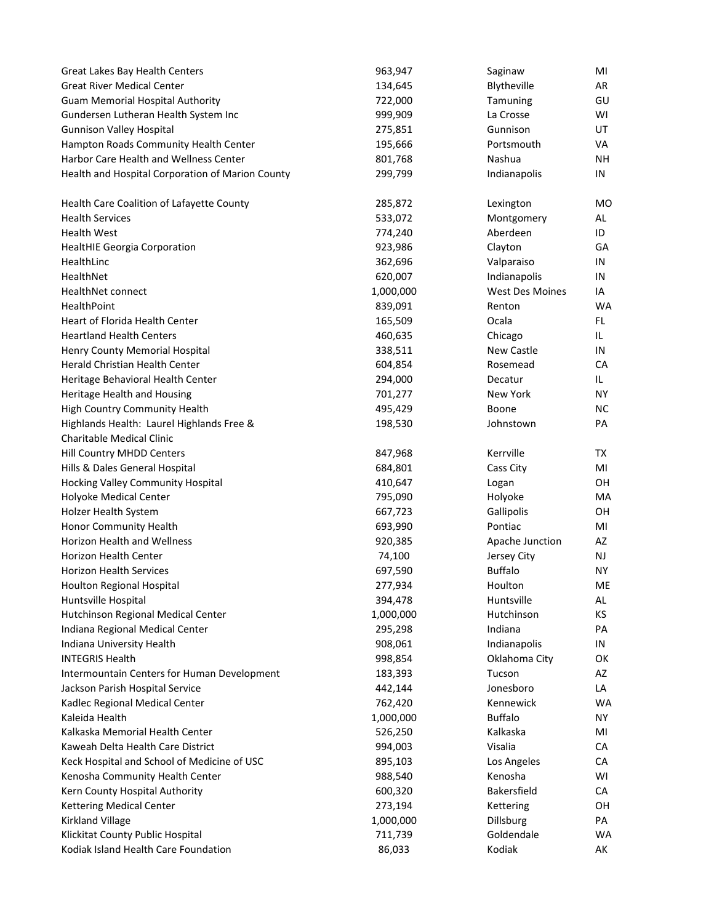| Great Lakes Bay Health Centers                   | 963,947   | Saginaw           | MI        |
|--------------------------------------------------|-----------|-------------------|-----------|
| <b>Great River Medical Center</b>                | 134,645   | Blytheville       | AR        |
| <b>Guam Memorial Hospital Authority</b>          | 722,000   | Tamuning          | GU        |
| Gundersen Lutheran Health System Inc             | 999,909   | La Crosse         | WI        |
| <b>Gunnison Valley Hospital</b>                  | 275,851   | Gunnison          | UT        |
| Hampton Roads Community Health Center            | 195,666   | Portsmouth        | VA        |
| Harbor Care Health and Wellness Center           | 801,768   | Nashua            | <b>NH</b> |
| Health and Hospital Corporation of Marion County | 299,799   | Indianapolis      | IN        |
| Health Care Coalition of Lafayette County        | 285,872   | Lexington         | MO        |
| <b>Health Services</b>                           | 533,072   | Montgomery        | AL        |
| <b>Health West</b>                               | 774,240   | Aberdeen          | ID        |
| <b>HealtHIE Georgia Corporation</b>              | 923,986   | Clayton           | GA        |
| HealthLinc                                       | 362,696   | Valparaiso        | IN        |
| HealthNet                                        | 620,007   | Indianapolis      | IN        |
| HealthNet connect                                | 1,000,000 | West Des Moines   | IA        |
| HealthPoint                                      | 839,091   | Renton            | WA        |
| Heart of Florida Health Center                   | 165,509   | Ocala             | FL.       |
| <b>Heartland Health Centers</b>                  | 460,635   | Chicago           | IL.       |
| Henry County Memorial Hospital                   | 338,511   | <b>New Castle</b> | IN        |
| Herald Christian Health Center                   | 604,854   | Rosemead          | СA        |
| Heritage Behavioral Health Center                | 294,000   | Decatur           | IL.       |
| Heritage Health and Housing                      | 701,277   | New York          | <b>NY</b> |
| High Country Community Health                    | 495,429   | Boone             | <b>NC</b> |
| Highlands Health: Laurel Highlands Free &        | 198,530   | Johnstown         | PA        |
| Charitable Medical Clinic                        |           |                   |           |
| Hill Country MHDD Centers                        | 847,968   | Kerrville         | TX        |
| Hills & Dales General Hospital                   | 684,801   | Cass City         | MI        |
| Hocking Valley Community Hospital                | 410,647   | Logan             | OH        |
| Holyoke Medical Center                           | 795,090   | Holyoke           | МA        |
| Holzer Health System                             | 667,723   | Gallipolis        | OH        |
| Honor Community Health                           | 693,990   | Pontiac           | MI        |
| Horizon Health and Wellness                      | 920,385   | Apache Junction   | AZ        |
| <b>Horizon Health Center</b>                     | 74,100    | Jersey City       | NJ.       |
| Horizon Health Services                          | 697,590   | <b>Buffalo</b>    | <b>NY</b> |
| Houlton Regional Hospital                        | 277,934   | Houlton           | ME        |
| Huntsville Hospital                              | 394,478   | Huntsville        | AL        |
| Hutchinson Regional Medical Center               | 1,000,000 | Hutchinson        | KS        |
| Indiana Regional Medical Center                  | 295,298   | Indiana           | PA        |
| Indiana University Health                        | 908,061   | Indianapolis      | IN        |
| <b>INTEGRIS Health</b>                           | 998,854   | Oklahoma City     | OK        |
| Intermountain Centers for Human Development      | 183,393   | Tucson            | AZ        |
| Jackson Parish Hospital Service                  | 442,144   | Jonesboro         | LA        |
| Kadlec Regional Medical Center                   | 762,420   | Kennewick         | WA        |
| Kaleida Health                                   | 1,000,000 | <b>Buffalo</b>    | <b>NY</b> |
| Kalkaska Memorial Health Center                  | 526,250   | Kalkaska          | MI        |
| Kaweah Delta Health Care District                | 994,003   | Visalia           | СA        |
| Keck Hospital and School of Medicine of USC      | 895,103   | Los Angeles       | CA        |
| Kenosha Community Health Center                  | 988,540   | Kenosha           | WI        |
| Kern County Hospital Authority                   | 600,320   | Bakersfield       | СA        |
| Kettering Medical Center                         | 273,194   | Kettering         | OН        |
| Kirkland Village                                 | 1,000,000 | Dillsburg         | PA        |
| Klickitat County Public Hospital                 | 711,739   | Goldendale        | WA        |
| Kodiak Island Health Care Foundation             | 86,033    | Kodiak            | AK        |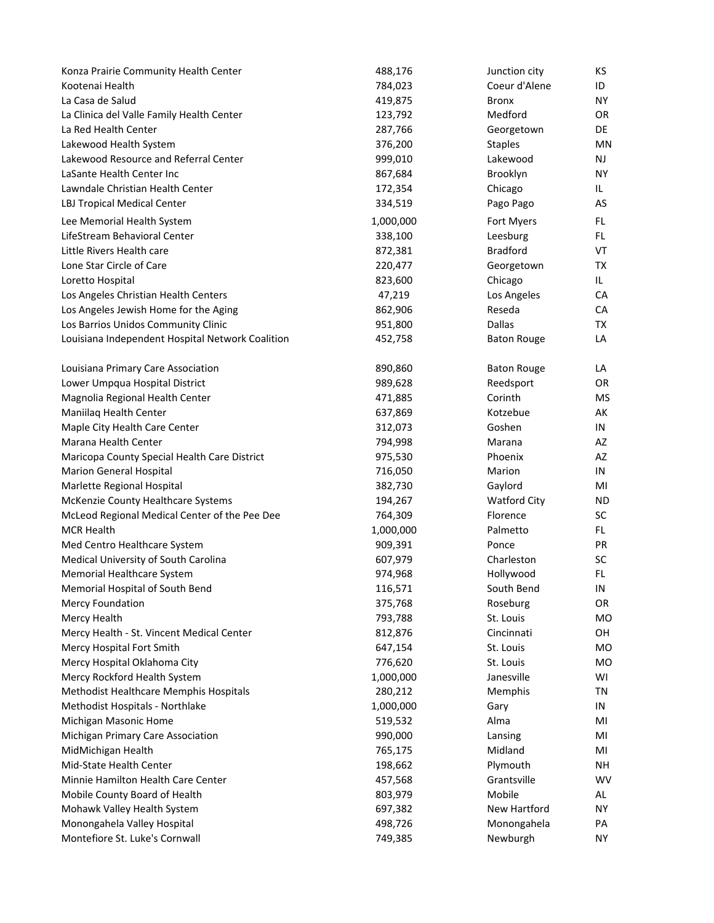| Konza Prairie Community Health Center            | 488,176   | Junction city       | KS        |
|--------------------------------------------------|-----------|---------------------|-----------|
| Kootenai Health                                  | 784,023   | Coeur d'Alene       | ID        |
| La Casa de Salud                                 | 419,875   | Bronx               | <b>NY</b> |
| La Clinica del Valle Family Health Center        | 123,792   | Medford             | <b>OR</b> |
| La Red Health Center                             | 287,766   | Georgetown          | DE        |
| Lakewood Health System                           | 376,200   | <b>Staples</b>      | <b>MN</b> |
| Lakewood Resource and Referral Center            | 999,010   | Lakewood            | NJ        |
| LaSante Health Center Inc                        | 867,684   | Brooklyn            | <b>NY</b> |
| Lawndale Christian Health Center                 | 172,354   | Chicago             | IL.       |
| LBJ Tropical Medical Center                      | 334,519   | Pago Pago           | AS        |
| Lee Memorial Health System                       | 1,000,000 | Fort Myers          | FL.       |
| LifeStream Behavioral Center                     | 338,100   | Leesburg            | FL.       |
| Little Rivers Health care                        | 872,381   | <b>Bradford</b>     | VT        |
| Lone Star Circle of Care                         | 220,477   | Georgetown          | <b>TX</b> |
| Loretto Hospital                                 | 823,600   | Chicago             | IL        |
| Los Angeles Christian Health Centers             | 47,219    | Los Angeles         | CA        |
| Los Angeles Jewish Home for the Aging            | 862,906   | Reseda              | CA        |
| Los Barrios Unidos Community Clinic              | 951,800   | <b>Dallas</b>       | ТX        |
| Louisiana Independent Hospital Network Coalition | 452,758   | <b>Baton Rouge</b>  | LA        |
| Louisiana Primary Care Association               | 890,860   | <b>Baton Rouge</b>  | LA        |
| Lower Umpqua Hospital District                   | 989,628   | Reedsport           | <b>OR</b> |
| Magnolia Regional Health Center                  | 471,885   | Corinth             | <b>MS</b> |
| Maniilaq Health Center                           | 637,869   | Kotzebue            | AK        |
| Maple City Health Care Center                    | 312,073   | Goshen              | IN        |
| Marana Health Center                             | 794,998   | Marana              | AZ        |
| Maricopa County Special Health Care District     | 975,530   | Phoenix             | AZ        |
| <b>Marion General Hospital</b>                   | 716,050   | Marion              | IN        |
| Marlette Regional Hospital                       | 382,730   | Gaylord             | MI        |
| McKenzie County Healthcare Systems               | 194,267   | <b>Watford City</b> | <b>ND</b> |
| McLeod Regional Medical Center of the Pee Dee    | 764,309   | Florence            | SC        |
| <b>MCR Health</b>                                | 1,000,000 | Palmetto            | FL.       |
| Med Centro Healthcare System                     | 909,391   | Ponce               | PR        |
| Medical University of South Carolina             | 607,979   | Charleston          | SC        |
| Memorial Healthcare System                       | 974,968   | Hollywood           | FL        |
| Memorial Hospital of South Bend                  | 116,571   | South Bend          | IN        |
| <b>Mercy Foundation</b>                          | 375,768   | Roseburg            | OR        |
| Mercy Health                                     | 793,788   | St. Louis           | MO        |
| Mercy Health - St. Vincent Medical Center        | 812,876   | Cincinnati          | OH        |
| Mercy Hospital Fort Smith                        | 647,154   | St. Louis           | MO        |
| Mercy Hospital Oklahoma City                     | 776,620   | St. Louis           | MO        |
| Mercy Rockford Health System                     | 1,000,000 | Janesville          | WI        |
| Methodist Healthcare Memphis Hospitals           | 280,212   | Memphis             | TN        |
| Methodist Hospitals - Northlake                  | 1,000,000 | Gary                | IN        |
| Michigan Masonic Home                            | 519,532   | Alma                | MI        |
| Michigan Primary Care Association                | 990,000   | Lansing             | MI        |
| MidMichigan Health                               | 765,175   | Midland             | MI        |
| Mid-State Health Center                          | 198,662   | Plymouth            | <b>NH</b> |
| Minnie Hamilton Health Care Center               | 457,568   | Grantsville         | WV        |
| Mobile County Board of Health                    | 803,979   | Mobile              | AL        |
| Mohawk Valley Health System                      | 697,382   | New Hartford        | <b>NY</b> |
| Monongahela Valley Hospital                      | 498,726   | Monongahela         | PA        |
| Montefiore St. Luke's Cornwall                   | 749,385   | Newburgh            | <b>NY</b> |
|                                                  |           |                     |           |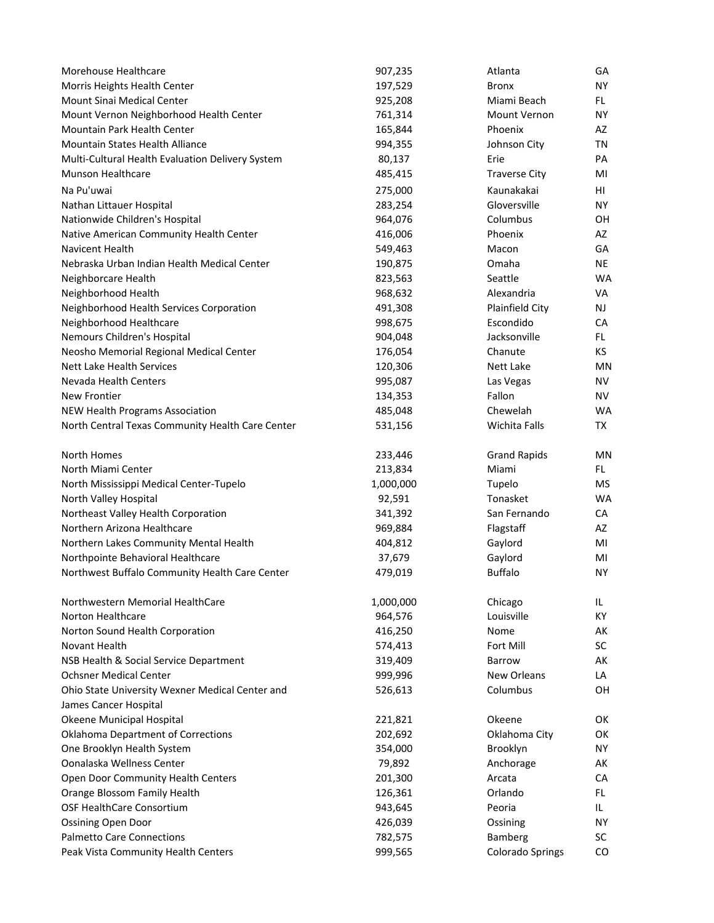| Morehouse Healthcare                             | 907,235   | Atlanta                 | GA        |
|--------------------------------------------------|-----------|-------------------------|-----------|
| Morris Heights Health Center                     | 197,529   | <b>Bronx</b>            | <b>NY</b> |
| Mount Sinai Medical Center                       | 925,208   | Miami Beach             | FL.       |
| Mount Vernon Neighborhood Health Center          | 761,314   | Mount Vernon            | <b>NY</b> |
| Mountain Park Health Center                      | 165,844   | Phoenix                 | AZ        |
| <b>Mountain States Health Alliance</b>           | 994,355   | Johnson City            | ΤN        |
| Multi-Cultural Health Evaluation Delivery System | 80,137    | Erie                    | PА        |
| <b>Munson Healthcare</b>                         | 485,415   | <b>Traverse City</b>    | MI        |
| Na Pu'uwai                                       | 275,000   | Kaunakakai              | HL        |
| Nathan Littauer Hospital                         | 283,254   | Gloversville            | <b>NY</b> |
| Nationwide Children's Hospital                   | 964,076   | Columbus                | OH        |
| Native American Community Health Center          | 416,006   | Phoenix                 | AZ        |
| <b>Navicent Health</b>                           | 549,463   | Macon                   | GA        |
| Nebraska Urban Indian Health Medical Center      | 190,875   | Omaha                   | NE.       |
| Neighborcare Health                              | 823,563   | Seattle                 | <b>WA</b> |
| Neighborhood Health                              | 968,632   | Alexandria              | VA        |
| Neighborhood Health Services Corporation         | 491,308   | Plainfield City         | NJ        |
| Neighborhood Healthcare                          | 998,675   | Escondido               | СA        |
| Nemours Children's Hospital                      | 904,048   | Jacksonville            | FL.       |
| Neosho Memorial Regional Medical Center          | 176,054   | Chanute                 | КS        |
| <b>Nett Lake Health Services</b>                 | 120,306   | Nett Lake               | ΜN        |
| Nevada Health Centers                            | 995,087   | Las Vegas               | <b>NV</b> |
| New Frontier                                     | 134,353   | Fallon                  | <b>NV</b> |
| NEW Health Programs Association                  | 485,048   | Chewelah                | <b>WA</b> |
| North Central Texas Community Health Care Center | 531,156   | Wichita Falls           | TX        |
| North Homes                                      | 233,446   | <b>Grand Rapids</b>     | ΜN        |
| North Miami Center                               | 213,834   | Miami                   | FL.       |
| North Mississippi Medical Center-Tupelo          | 1,000,000 | Tupelo                  | <b>MS</b> |
| North Valley Hospital                            | 92,591    | Tonasket                | <b>WA</b> |
| Northeast Valley Health Corporation              | 341,392   | San Fernando            | CA        |
| Northern Arizona Healthcare                      | 969,884   | Flagstaff               | AZ        |
| Northern Lakes Community Mental Health           | 404,812   | Gaylord                 | MI        |
| Northpointe Behavioral Healthcare                | 37,679    | Gaylord                 | MI        |
| Northwest Buffalo Community Health Care Center   | 479,019   | <b>Buffalo</b>          | <b>NY</b> |
| Northwestern Memorial HealthCare                 | 1,000,000 | Chicago                 | IL.       |
| Norton Healthcare                                | 964,576   | Louisville              | KY        |
| Norton Sound Health Corporation                  | 416,250   | Nome                    | АK        |
| Novant Health                                    | 574,413   | Fort Mill               | <b>SC</b> |
| NSB Health & Social Service Department           | 319,409   | <b>Barrow</b>           | АK        |
| <b>Ochsner Medical Center</b>                    | 999,996   | <b>New Orleans</b>      | LA        |
| Ohio State University Wexner Medical Center and  | 526,613   | Columbus                | OΗ        |
| James Cancer Hospital                            |           |                         |           |
| Okeene Municipal Hospital                        | 221,821   | Okeene                  | OK        |
| <b>Oklahoma Department of Corrections</b>        | 202,692   | Oklahoma City           | OK        |
| One Brooklyn Health System                       | 354,000   | Brooklyn                | <b>NY</b> |
| Oonalaska Wellness Center                        | 79,892    | Anchorage               | АK        |
| Open Door Community Health Centers               | 201,300   | Arcata                  | СA        |
| Orange Blossom Family Health                     | 126,361   | Orlando                 | FL.       |
| OSF HealthCare Consortium                        | 943,645   | Peoria                  | IL        |
| <b>Ossining Open Door</b>                        | 426,039   | Ossining                | ΝY        |
| <b>Palmetto Care Connections</b>                 | 782,575   | Bamberg                 | <b>SC</b> |
| Peak Vista Community Health Centers              | 999,565   | <b>Colorado Springs</b> | CO        |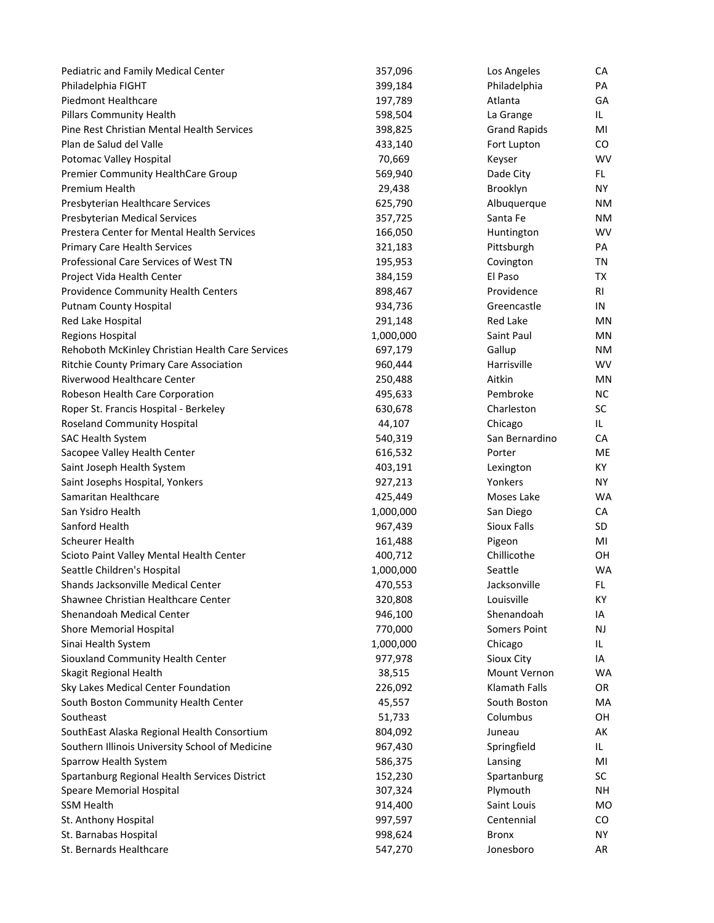| Pediatric and Family Medical Center              | 357,096   | Los Angeles         | СA             |
|--------------------------------------------------|-----------|---------------------|----------------|
| Philadelphia FIGHT                               | 399,184   | Philadelphia        | PA             |
| <b>Piedmont Healthcare</b>                       | 197,789   | Atlanta             | GA             |
| <b>Pillars Community Health</b>                  | 598,504   | La Grange           | IL.            |
| Pine Rest Christian Mental Health Services       | 398,825   | <b>Grand Rapids</b> | MI             |
| Plan de Salud del Valle                          | 433,140   | Fort Lupton         | CO.            |
| Potomac Valley Hospital                          | 70,669    | Keyser              | <b>WV</b>      |
| Premier Community HealthCare Group               | 569,940   | Dade City           | FL.            |
| Premium Health                                   | 29,438    | Brooklyn            | <b>NY</b>      |
| Presbyterian Healthcare Services                 | 625,790   | Albuquerque         | ΝM             |
| Presbyterian Medical Services                    | 357,725   | Santa Fe            | ΝM             |
| Prestera Center for Mental Health Services       | 166,050   | Huntington          | <b>WV</b>      |
| <b>Primary Care Health Services</b>              | 321,183   | Pittsburgh          | PA             |
| Professional Care Services of West TN            | 195,953   | Covington           | ΤN             |
| Project Vida Health Center                       | 384,159   | El Paso             | TX             |
| Providence Community Health Centers              | 898,467   | Providence          | RI             |
| <b>Putnam County Hospital</b>                    | 934,736   | Greencastle         | IN             |
| Red Lake Hospital                                | 291,148   | <b>Red Lake</b>     | MN             |
| <b>Regions Hospital</b>                          | 1,000,000 | Saint Paul          | ΜN             |
| Rehoboth McKinley Christian Health Care Services | 697,179   | Gallup              | ΝM             |
| Ritchie County Primary Care Association          | 960,444   | Harrisville         | <b>WV</b>      |
| Riverwood Healthcare Center                      | 250,488   | Aitkin              | ΜN             |
| Robeson Health Care Corporation                  | 495,633   | Pembroke            | <b>NC</b>      |
| Roper St. Francis Hospital - Berkeley            | 630,678   | Charleston          | <b>SC</b>      |
| Roseland Community Hospital                      | 44,107    | Chicago             | IL.            |
| <b>SAC Health System</b>                         | 540,319   | San Bernardino      | <b>CA</b>      |
| Sacopee Valley Health Center                     | 616,532   | Porter              | ME             |
| Saint Joseph Health System                       | 403,191   | Lexington           | KY.            |
| Saint Josephs Hospital, Yonkers                  | 927,213   | Yonkers             | NY.            |
| Samaritan Healthcare                             | 425,449   | Moses Lake          | <b>WA</b>      |
| San Ysidro Health                                | 1,000,000 | San Diego           | СA             |
| Sanford Health                                   | 967,439   | Sioux Falls         | SD             |
| <b>Scheurer Health</b>                           | 161,488   | Pigeon              | MI             |
| Scioto Paint Valley Mental Health Center         | 400,712   | Chillicothe         | OH             |
| Seattle Children's Hospital                      | 1,000,000 | Seattle             | <b>WA</b>      |
| Shands Jacksonville Medical Center               | 470,553   | Jacksonville        | FL.            |
| Shawnee Christian Healthcare Center              | 320,808   | Louisville          | KY             |
| Shenandoah Medical Center                        | 946,100   | Shenandoah          | IA             |
| <b>Shore Memorial Hospital</b>                   | 770,000   | <b>Somers Point</b> | NJ             |
| Sinai Health System                              | 1,000,000 | Chicago             | IL.            |
| Siouxland Community Health Center                | 977,978   | Sioux City          | IA             |
| Skagit Regional Health                           | 38,515    | Mount Vernon        | WA             |
| Sky Lakes Medical Center Foundation              | 226,092   | Klamath Falls       | OR             |
| South Boston Community Health Center             | 45,557    | South Boston        | MA             |
| Southeast                                        | 51,733    | Columbus            | OH             |
| SouthEast Alaska Regional Health Consortium      | 804,092   | Juneau              | AK             |
| Southern Illinois University School of Medicine  | 967,430   | Springfield         | IL.            |
| Sparrow Health System                            | 586,375   | Lansing             | MI             |
| Spartanburg Regional Health Services District    | 152,230   | Spartanburg         | SC             |
| Speare Memorial Hospital                         | 307,324   | Plymouth            | NΗ             |
| <b>SSM Health</b>                                | 914,400   | Saint Louis         | M <sub>O</sub> |
| St. Anthony Hospital                             | 997,597   | Centennial          | CO.            |
| St. Barnabas Hospital                            | 998,624   | <b>Bronx</b>        | NY.            |
| St. Bernards Healthcare                          | 547,270   | Jonesboro           | AR             |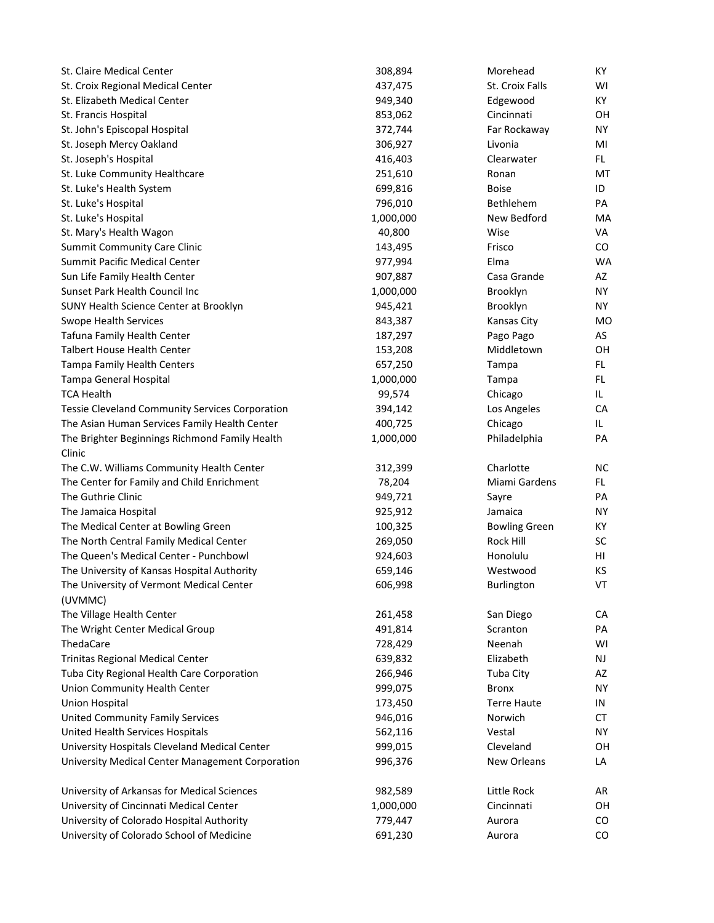| St. Claire Medical Center                              | 308,894   | Morehead             | KY        |
|--------------------------------------------------------|-----------|----------------------|-----------|
| St. Croix Regional Medical Center                      | 437,475   | St. Croix Falls      | WI        |
| St. Elizabeth Medical Center                           | 949,340   | Edgewood             | KY        |
| St. Francis Hospital                                   | 853,062   | Cincinnati           | OН        |
| St. John's Episcopal Hospital                          | 372,744   | Far Rockaway         | <b>NY</b> |
| St. Joseph Mercy Oakland                               | 306,927   | Livonia              | MI        |
| St. Joseph's Hospital                                  | 416,403   | Clearwater           | FL.       |
| St. Luke Community Healthcare                          | 251,610   | Ronan                | МT        |
| St. Luke's Health System                               | 699,816   | <b>Boise</b>         | ID        |
| St. Luke's Hospital                                    | 796,010   | Bethlehem            | PA        |
| St. Luke's Hospital                                    | 1,000,000 | New Bedford          | MA        |
| St. Mary's Health Wagon                                | 40,800    | Wise                 | VA        |
| <b>Summit Community Care Clinic</b>                    | 143,495   | Frisco               | CO        |
| Summit Pacific Medical Center                          | 977,994   | Elma                 | <b>WA</b> |
| Sun Life Family Health Center                          | 907,887   | Casa Grande          | AZ        |
| Sunset Park Health Council Inc                         | 1,000,000 | Brooklyn             | <b>NY</b> |
| SUNY Health Science Center at Brooklyn                 | 945,421   | Brooklyn             | <b>NY</b> |
| <b>Swope Health Services</b>                           | 843,387   | Kansas City          | <b>MO</b> |
| Tafuna Family Health Center                            | 187,297   | Pago Pago            | AS        |
| Talbert House Health Center                            | 153,208   | Middletown           | OH        |
| Tampa Family Health Centers                            | 657,250   | Tampa                | FL        |
| Tampa General Hospital                                 | 1,000,000 | Tampa                | FL        |
| <b>TCA Health</b>                                      | 99,574    | Chicago              | IL.       |
| <b>Tessie Cleveland Community Services Corporation</b> | 394,142   | Los Angeles          | CA        |
| The Asian Human Services Family Health Center          | 400,725   | Chicago              | IL        |
| The Brighter Beginnings Richmond Family Health         | 1,000,000 | Philadelphia         | PA        |
| Clinic                                                 |           |                      |           |
| The C.W. Williams Community Health Center              | 312,399   | Charlotte            | <b>NC</b> |
| The Center for Family and Child Enrichment             | 78,204    | Miami Gardens        | FL.       |
| The Guthrie Clinic                                     | 949,721   | Sayre                | PA        |
| The Jamaica Hospital                                   | 925,912   | Jamaica              | <b>NY</b> |
| The Medical Center at Bowling Green                    | 100,325   | <b>Bowling Green</b> | KY        |
| The North Central Family Medical Center                | 269,050   | Rock Hill            | SC        |
| The Queen's Medical Center - Punchbowl                 | 924,603   | Honolulu             | HI        |
| The University of Kansas Hospital Authority            | 659,146   | Westwood             | ΚS        |
| The University of Vermont Medical Center               | 606,998   | Burlington           | VT        |
| (UVMMC)                                                |           |                      |           |
| The Village Health Center                              | 261,458   | San Diego            | CA        |
| The Wright Center Medical Group                        | 491,814   | Scranton             | PA        |
| ThedaCare                                              | 728,429   | Neenah               | WI        |
| <b>Trinitas Regional Medical Center</b>                | 639,832   | Elizabeth            | NJ        |
| Tuba City Regional Health Care Corporation             | 266,946   | Tuba City            | AZ        |
| Union Community Health Center                          | 999,075   | <b>Bronx</b>         | <b>NY</b> |
| <b>Union Hospital</b>                                  | 173,450   | <b>Terre Haute</b>   | IN        |
| <b>United Community Family Services</b>                | 946,016   | Norwich              | CT        |
| United Health Services Hospitals                       | 562,116   | Vestal               | <b>NY</b> |
| University Hospitals Cleveland Medical Center          | 999,015   | Cleveland            | OH        |
| University Medical Center Management Corporation       | 996,376   | New Orleans          | LA        |
|                                                        |           |                      |           |
| University of Arkansas for Medical Sciences            | 982,589   | Little Rock          | AR        |
| University of Cincinnati Medical Center                | 1,000,000 | Cincinnati           | OH        |
| University of Colorado Hospital Authority              | 779,447   | Aurora               | CO        |
| University of Colorado School of Medicine              | 691,230   | Aurora               | CO        |